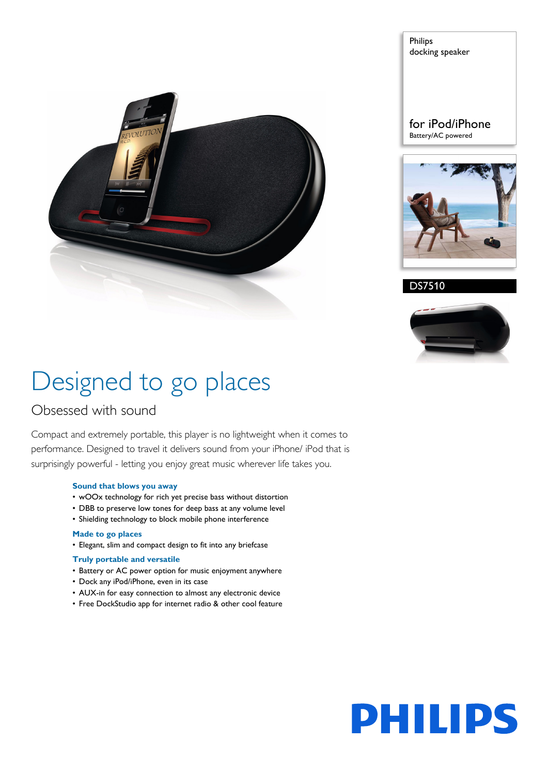

Philips docking speaker

for iPod/iPhone Battery/AC powered



DS7510



# Designed to go places

### Obsessed with sound

Compact and extremely portable, this player is no lightweight when it comes to performance. Designed to travel it delivers sound from your iPhone/ iPod that is surprisingly powerful - letting you enjoy great music wherever life takes you.

#### **Sound that blows you away**

- wOOx technology for rich yet precise bass without distortion
- DBB to preserve low tones for deep bass at any volume level
- Shielding technology to block mobile phone interference

#### **Made to go places**

• Elegant, slim and compact design to fit into any briefcase

#### **Truly portable and versatile**

- Battery or AC power option for music enjoyment anywhere
- Dock any iPod/iPhone, even in its case
- AUX-in for easy connection to almost any electronic device
- Free DockStudio app for internet radio & other cool feature